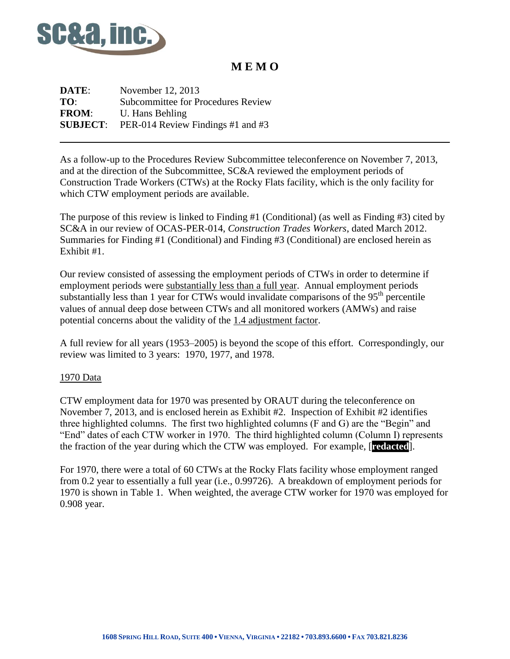

## **M E M O**

**DATE:** November 12, 2013 **TO**: Subcommittee for Procedures Review **FROM**: U. Hans Behling **SUBJECT**: PER-014 Review Findings #1 and #3

As a follow-up to the Procedures Review Subcommittee teleconference on November 7, 2013, and at the direction of the Subcommittee, SC&A reviewed the employment periods of Construction Trade Workers (CTWs) at the Rocky Flats facility, which is the only facility for which CTW employment periods are available.

The purpose of this review is linked to Finding #1 (Conditional) (as well as Finding #3) cited by SC&A in our review of OCAS-PER-014, *Construction Trades Workers*, dated March 2012. Summaries for Finding #1 (Conditional) and Finding #3 (Conditional) are enclosed herein as Exhibit #1.

Our review consisted of assessing the employment periods of CTWs in order to determine if employment periods were substantially less than a full year. Annual employment periods substantially less than 1 year for CTWs would invalidate comparisons of the  $95<sup>th</sup>$  percentile values of annual deep dose between CTWs and all monitored workers (AMWs) and raise potential concerns about the validity of the 1.4 adjustment factor.

A full review for all years (1953–2005) is beyond the scope of this effort. Correspondingly, our review was limited to 3 years: 1970, 1977, and 1978.

#### 1970 Data

CTW employment data for 1970 was presented by ORAUT during the teleconference on November 7, 2013, and is enclosed herein as Exhibit #2. Inspection of Exhibit #2 identifies three highlighted columns. The first two highlighted columns (F and G) are the "Begin" and "End" dates of each CTW worker in 1970. The third highlighted column (Column I) represents the fraction of the year during which the CTW was employed. For example, [**redacted**].

For 1970, there were a total of 60 CTWs at the Rocky Flats facility whose employment ranged from 0.2 year to essentially a full year (i.e., 0.99726). A breakdown of employment periods for 1970 is shown in Table 1. When weighted, the average CTW worker for 1970 was employed for 0.908 year.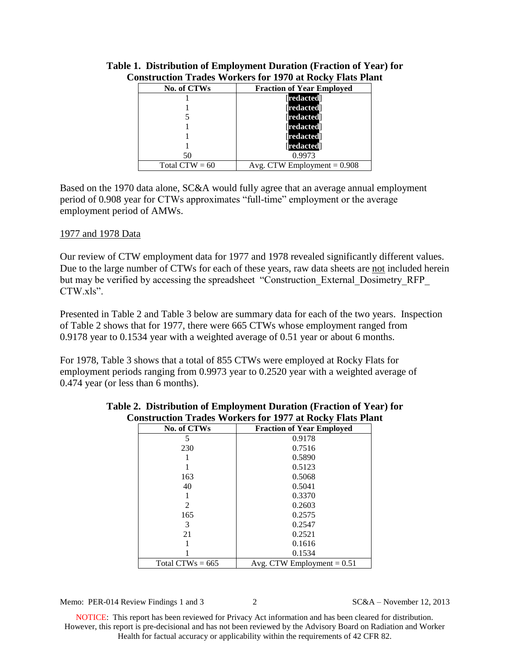| No. of CTWs      | <b>Fraction of Year Employed</b> |
|------------------|----------------------------------|
|                  | <b>redacted</b>                  |
|                  | <b>redacted</b>                  |
|                  | <b>redacted</b>                  |
|                  | <b>redacted</b>                  |
|                  | <b>redacted</b>                  |
|                  | redacted                         |
| 50               | 0.9973                           |
| Total $CTW = 60$ | Avg. CTW Employment $= 0.908$    |

### **Table 1. Distribution of Employment Duration (Fraction of Year) for Construction Trades Workers for 1970 at Rocky Flats Plant**

Based on the 1970 data alone, SC&A would fully agree that an average annual employment period of 0.908 year for CTWs approximates "full-time" employment or the average employment period of AMWs.

#### 1977 and 1978 Data

Our review of CTW employment data for 1977 and 1978 revealed significantly different values. Due to the large number of CTWs for each of these years, raw data sheets are not included herein but may be verified by accessing the spreadsheet "Construction\_External\_Dosimetry\_RFP\_ CTW xls"

Presented in Table 2 and Table 3 below are summary data for each of the two years. Inspection of Table 2 shows that for 1977, there were 665 CTWs whose employment ranged from 0.9178 year to 0.1534 year with a weighted average of 0.51 year or about 6 months.

For 1978, Table 3 shows that a total of 855 CTWs were employed at Rocky Flats for employment periods ranging from 0.9973 year to 0.2520 year with a weighted average of 0.474 year (or less than 6 months).

| No. of CTWs           | <b>Fraction of Year Employed</b> |
|-----------------------|----------------------------------|
| 5                     | 0.9178                           |
| 230                   | 0.7516                           |
|                       | 0.5890                           |
|                       | 0.5123                           |
| 163                   | 0.5068                           |
| 40                    | 0.5041                           |
|                       | 0.3370                           |
| $\mathcal{D}_{\cdot}$ | 0.2603                           |
| 165                   | 0.2575                           |
| 3                     | 0.2547                           |
| 21                    | 0.2521                           |
|                       | 0.1616                           |
|                       | 0.1534                           |
| Total CTWs = $665$    | Avg. CTW Employment $= 0.51$     |

#### **Table 2. Distribution of Employment Duration (Fraction of Year) for Construction Trades Workers for 1977 at Rocky Flats Plant**

Memo: PER-014 Review Findings 1 and 3 2 SC&A – November 12, 2013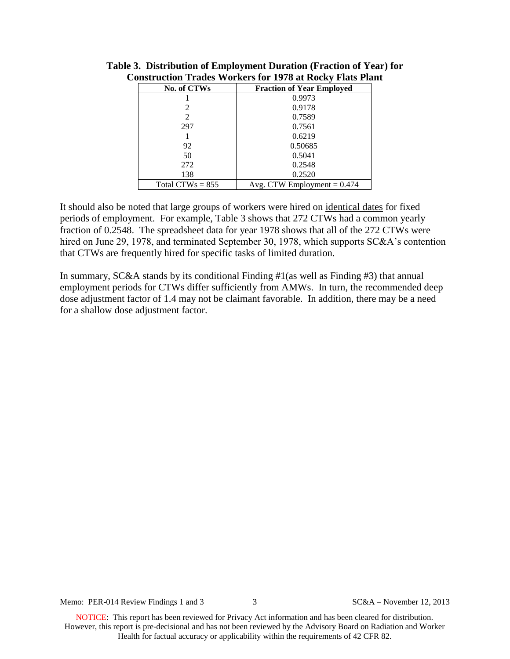| No. of CTWs           | <b>Fraction of Year Employed</b> |
|-----------------------|----------------------------------|
|                       | 0.9973                           |
|                       | 0.9178                           |
| $\mathcal{D}_{\cdot}$ | 0.7589                           |
| 297                   | 0.7561                           |
|                       | 0.6219                           |
| 92                    | 0.50685                          |
| 50                    | 0.5041                           |
| 272                   | 0.2548                           |
| 138                   | 0.2520                           |
| Total CTWs $= 855$    | Avg. CTW Employment $= 0.474$    |

**Table 3. Distribution of Employment Duration (Fraction of Year) for Construction Trades Workers for 1978 at Rocky Flats Plant**

It should also be noted that large groups of workers were hired on identical dates for fixed periods of employment. For example, Table 3 shows that 272 CTWs had a common yearly fraction of 0.2548. The spreadsheet data for year 1978 shows that all of the 272 CTWs were hired on June 29, 1978, and terminated September 30, 1978, which supports SC&A's contention that CTWs are frequently hired for specific tasks of limited duration.

In summary, SC&A stands by its conditional Finding #1(as well as Finding #3) that annual employment periods for CTWs differ sufficiently from AMWs. In turn, the recommended deep dose adjustment factor of 1.4 may not be claimant favorable. In addition, there may be a need for a shallow dose adjustment factor.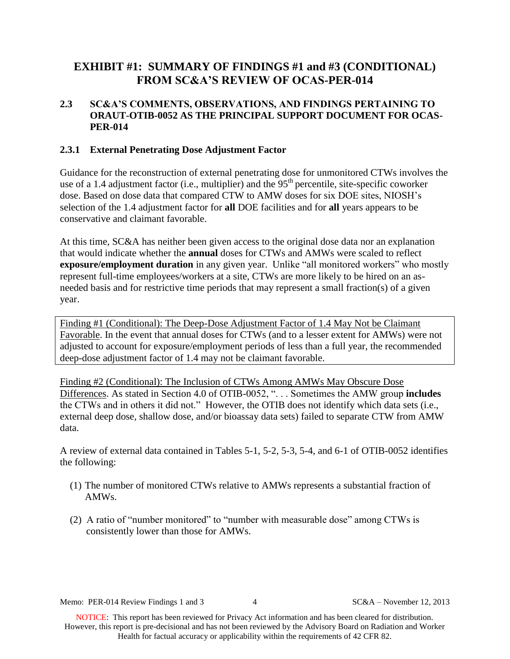## **EXHIBIT #1: SUMMARY OF FINDINGS #1 and #3 (CONDITIONAL) FROM SC&A'S REVIEW OF OCAS-PER-014**

### **2.3 SC&A'S COMMENTS, OBSERVATIONS, AND FINDINGS PERTAINING TO ORAUT-OTIB-0052 AS THE PRINCIPAL SUPPORT DOCUMENT FOR OCAS-PER-014**

#### **2.3.1 External Penetrating Dose Adjustment Factor**

Guidance for the reconstruction of external penetrating dose for unmonitored CTWs involves the use of a 1.4 adjustment factor (i.e., multiplier) and the 95<sup>th</sup> percentile, site-specific coworker dose. Based on dose data that compared CTW to AMW doses for six DOE sites, NIOSH's selection of the 1.4 adjustment factor for **all** DOE facilities and for **all** years appears to be conservative and claimant favorable.

At this time, SC&A has neither been given access to the original dose data nor an explanation that would indicate whether the **annual** doses for CTWs and AMWs were scaled to reflect **exposure/employment duration** in any given year. Unlike "all monitored workers" who mostly represent full-time employees/workers at a site, CTWs are more likely to be hired on an asneeded basis and for restrictive time periods that may represent a small fraction(s) of a given year.

Finding #1 (Conditional): The Deep-Dose Adjustment Factor of 1.4 May Not be Claimant Favorable. In the event that annual doses for CTWs (and to a lesser extent for AMWs) were not adjusted to account for exposure/employment periods of less than a full year, the recommended deep-dose adjustment factor of 1.4 may not be claimant favorable.

Finding #2 (Conditional): The Inclusion of CTWs Among AMWs May Obscure Dose Differences. As stated in Section 4.0 of OTIB-0052, ". . . Sometimes the AMW group **includes**  the CTWs and in others it did not." However, the OTIB does not identify which data sets (i.e., external deep dose, shallow dose, and/or bioassay data sets) failed to separate CTW from AMW data.

A review of external data contained in Tables 5-1, 5-2, 5-3, 5-4, and 6-1 of OTIB-0052 identifies the following:

- (1) The number of monitored CTWs relative to AMWs represents a substantial fraction of AMWs.
- (2) A ratio of "number monitored" to "number with measurable dose" among CTWs is consistently lower than those for AMWs.

Memo: PER-014 Review Findings 1 and 3 4 SC&A – November 12, 2013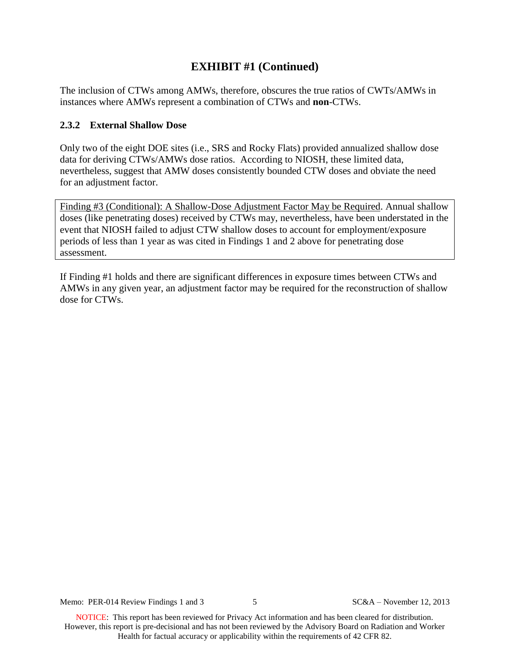## **EXHIBIT #1 (Continued)**

The inclusion of CTWs among AMWs, therefore, obscures the true ratios of CWTs/AMWs in instances where AMWs represent a combination of CTWs and **non**-CTWs.

### **2.3.2 External Shallow Dose**

Only two of the eight DOE sites (i.e., SRS and Rocky Flats) provided annualized shallow dose data for deriving CTWs/AMWs dose ratios. According to NIOSH, these limited data, nevertheless, suggest that AMW doses consistently bounded CTW doses and obviate the need for an adjustment factor.

Finding #3 (Conditional): A Shallow-Dose Adjustment Factor May be Required. Annual shallow doses (like penetrating doses) received by CTWs may, nevertheless, have been understated in the event that NIOSH failed to adjust CTW shallow doses to account for employment/exposure periods of less than 1 year as was cited in Findings 1 and 2 above for penetrating dose assessment.

If Finding #1 holds and there are significant differences in exposure times between CTWs and AMWs in any given year, an adjustment factor may be required for the reconstruction of shallow dose for CTWs.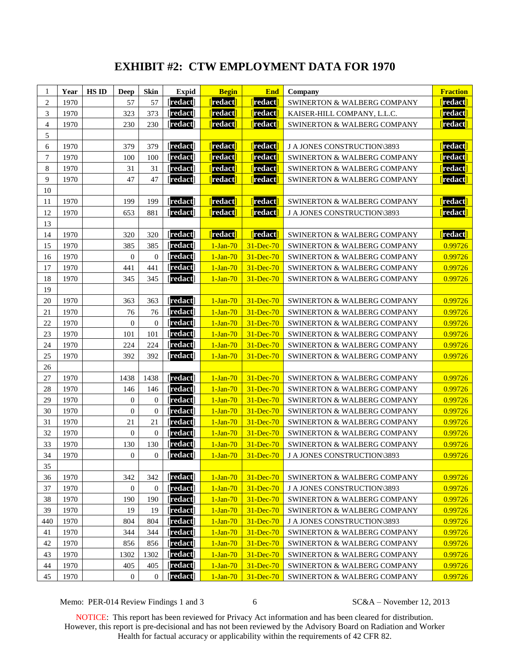# **EXHIBIT #2: CTW EMPLOYMENT DATA FOR 1970**

| 1              | Year | <b>HS ID</b> | <b>Deep</b>      | <b>Skin</b>      | <b>Expid</b>    | <b>Begin</b>           | <b>End</b>             | Company                                | <b>Fraction</b>       |
|----------------|------|--------------|------------------|------------------|-----------------|------------------------|------------------------|----------------------------------------|-----------------------|
| $\overline{c}$ | 1970 |              | 57               | 57               | [redact]        | redact                 | redact <mark>i</mark>  | SWINERTON & WALBERG COMPANY            | <mark>[redact]</mark> |
| 3              | 1970 |              | 323              | 373              | <b>redact</b>   | redact                 | redact                 | KAISER-HILL COMPANY, L.L.C.            | redact                |
| $\overline{4}$ | 1970 |              | 230              | 230              | redact          | redact <sup>'</sup>    | redact <sup>i</sup>    | SWINERTON & WALBERG COMPANY            | redact                |
| 5              |      |              |                  |                  |                 |                        |                        |                                        |                       |
| 6              | 1970 |              | 379              | 379              | <b>Tredact</b>  | redact <sup>'</sup>    | <mark>[</mark> redact  | J A JONES CONSTRUCTION\3893            | redact                |
| $\overline{7}$ | 1970 |              | 100              | 100              | <b>Tredact</b>  | redact <sup>'</sup>    | <b>redact</b>          | SWINERTON & WALBERG COMPANY            | redact                |
| 8              | 1970 |              | 31               | 31               | <b>redact</b>   | redact                 | redact                 | <b>SWINERTON &amp; WALBERG COMPANY</b> | redact                |
| 9              | 1970 |              | 47               | 47               | <b>redact</b>   | redact                 | redact                 | SWINERTON & WALBERG COMPANY            | redact                |
| 10             |      |              |                  |                  |                 |                        |                        |                                        |                       |
| 11             | 1970 |              | 199              | 199              | <b>redact</b>   | redact <sup>'</sup>    | <mark>[</mark> redact] | SWINERTON & WALBERG COMPANY            | redact]               |
| 12             | 1970 |              | 653              | 881              | <b>Tredact</b>  | redact                 | <b>redact</b>          | J A JONES CONSTRUCTION\3893            | redact                |
| 13             |      |              |                  |                  |                 |                        |                        |                                        |                       |
| 14             | 1970 |              | 320              | 320              | [redact]        | <mark>[</mark> redact] | <mark>[</mark> redact] | SWINERTON & WALBERG COMPANY            | redact]               |
| 15             | 1970 |              | 385              | 385              | <b>Tredact</b>  | $1-Jan-70$             | 31-Dec-70              | SWINERTON & WALBERG COMPANY            | 0.99726               |
| 16             | 1970 |              | $\mathbf{0}$     | $\theta$         | <b>redact</b>   | $1-Jan-70$             | 31-Dec-70              | SWINERTON & WALBERG COMPANY            | 0.99726               |
| 17             | 1970 |              | 441              | 441              | redact          | $1-Jan-70$             | 31-Dec-70              | SWINERTON & WALBERG COMPANY            | 0.99726               |
| 18             | 1970 |              | 345              | 345              | <b>redact</b>   | $1-Jan-70$             | 31-Dec-70              | SWINERTON & WALBERG COMPANY            | 0.99726               |
| 19             |      |              |                  |                  |                 |                        |                        |                                        |                       |
| 20             | 1970 |              | 363              | 363              | <b>redact</b>   | $1-Jan-70$             | 31-Dec-70              | <b>SWINERTON &amp; WALBERG COMPANY</b> | 0.99726               |
| 21             | 1970 |              | 76               | 76               | <b>redact</b>   | $1-Jan-70$             | 31-Dec-70              | <b>SWINERTON &amp; WALBERG COMPANY</b> | 0.99726               |
| 22             | 1970 |              | $\overline{0}$   | $\overline{0}$   | <b>redact</b>   | $1-Jan-70$             | 31-Dec-70              | <b>SWINERTON &amp; WALBERG COMPANY</b> | 0.99726               |
| 23             | 1970 |              | 101              | 101              | redact          | $1-Jan-70$             | 31-Dec-70              | SWINERTON & WALBERG COMPANY            | 0.99726               |
| 24             | 1970 |              | 224              | 224              | <b>Tredact</b>  | $1-Jan-70$             | 31-Dec-70              | SWINERTON & WALBERG COMPANY            | 0.99726               |
| 25             | 1970 |              | 392              | 392              | <b>Tredact</b>  | $1-Jan-70$             | 31-Dec-70              | SWINERTON & WALBERG COMPANY            | 0.99726               |
| $26\,$         |      |              |                  |                  |                 |                        |                        |                                        |                       |
| 27             | 1970 |              | 1438             | 1438             | <b>Tredact</b>  | $1-Jan-70$             | 31-Dec-70              | SWINERTON & WALBERG COMPANY            | 0.99726               |
| 28             | 1970 |              | 146              | 146              | redact          | $1-Jan-70$             | 31-Dec-70              | SWINERTON & WALBERG COMPANY            | 0.99726               |
| 29             | 1970 |              | $\boldsymbol{0}$ | $\mathbf{0}$     | <b>Tredact</b>  | $1-Jan-70$             | 31-Dec-70              | SWINERTON & WALBERG COMPANY            | 0.99726               |
| 30             | 1970 |              | $\mathbf{0}$     | $\Omega$         | <b>redact</b>   | $1-Jan-70$             | 31-Dec-70              | SWINERTON & WALBERG COMPANY            | 0.99726               |
| 31             | 1970 |              | 21               | 21               | <b>redact</b>   | $1-Jan-70$             | 31-Dec-70              | SWINERTON & WALBERG COMPANY            | 0.99726               |
| 32             | 1970 |              | $\mathbf{0}$     | $\Omega$         | <b>redact</b>   | $1-Jan-70$             | 31-Dec-70              | <b>SWINERTON &amp; WALBERG COMPANY</b> | 0.99726               |
| 33             | 1970 |              | 130              | 130              | <b>redact</b>   | $1-Jan-70$             | 31-Dec-70              | SWINERTON & WALBERG COMPANY            | 0.99726               |
| 34             | 1970 |              | $\boldsymbol{0}$ | $\boldsymbol{0}$ | <b>[redact]</b> | $1-Jan-70$             | $31$ -Dec-70           | J A JONES CONSTRUCTION\3893            | 0.99726               |
| 35             |      |              |                  |                  |                 |                        |                        |                                        |                       |
| 36             | 1970 |              | 342              | 342              | <b>redact</b>   | $1-Jan-70$             | 31-Dec-70              | SWINERTON & WALBERG COMPANY            | 0.99726               |
| 37             | 1970 |              | 0                | $\boldsymbol{0}$ | redact          | $1-Jan-70$             | 31-Dec-70              | J A JONES CONSTRUCTION\3893            | 0.99726               |
| 38             | 1970 |              | 190              | 190              | <b>Tredact</b>  | $1-Jan-70$             | 31-Dec-70              | SWINERTON & WALBERG COMPANY            | 0.99726               |
| 39             | 1970 |              | 19               | 19               | [redact]        | $1-Jan-70$             | 31-Dec-70              | SWINERTON & WALBERG COMPANY            | 0.99726               |
| 440            | 1970 |              | 804              | 804              | [redact]        | $1-Jan-70$             | 31-Dec-70              | J A JONES CONSTRUCTION\3893            | 0.99726               |
| 41             | 1970 |              | 344              | 344              | <b>redact</b>   | $1-Jan-70$             | 31-Dec-70              | SWINERTON & WALBERG COMPANY            | 0.99726               |
| 42             | 1970 |              | 856              | 856              | <b>redact</b>   | $1-Jan-70$             | 31-Dec-70              | SWINERTON & WALBERG COMPANY            | 0.99726               |
| 43             | 1970 |              | 1302             | 1302             | <b>redact</b>   | $1-Jan-70$             | 31-Dec-70              | SWINERTON & WALBERG COMPANY            | 0.99726               |
| 44             | 1970 |              | 405              | 405              | [redact]        | $1-Jan-70$             | 31-Dec-70              | SWINERTON & WALBERG COMPANY            | 0.99726               |
| 45             | 1970 |              | $\boldsymbol{0}$ | $\mathbf{0}$     | [redact]        | $1-Jan-70$             | 31-Dec-70              | SWINERTON & WALBERG COMPANY            | 0.99726               |

Memo: PER-014 Review Findings 1 and 3 6 SC&A – November 12, 2013